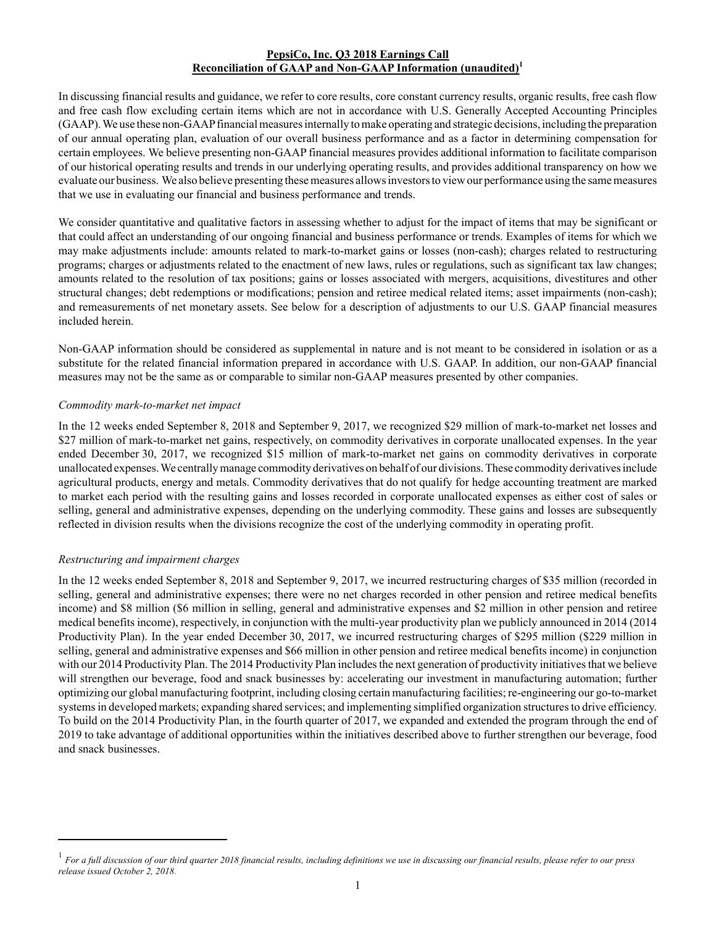# **PepsiCo, Inc. Q3 2018 Earnings Call Reconciliation of GAAP and Non-GAAP Information (unaudited)<sup>1</sup>**

In discussing financial results and guidance, we refer to core results, core constant currency results, organic results, free cash flow and free cash flow excluding certain items which are not in accordance with U.S. Generally Accepted Accounting Principles (GAAP). We use these non-GAAPfinancial measures internally to make operating and strategic decisions, including the preparation of our annual operating plan, evaluation of our overall business performance and as a factor in determining compensation for certain employees. We believe presenting non-GAAPfinancial measures provides additional information to facilitate comparison of our historical operating results and trends in our underlying operating results, and provides additional transparency on how we evaluate our business. We also believe presenting these measures allows investors to view our performance using the same measures that we use in evaluating our financial and business performance and trends.

We consider quantitative and qualitative factors in assessing whether to adjust for the impact of items that may be significant or that could affect an understanding of our ongoing financial and business performance or trends. Examples of items for which we may make adjustments include: amounts related to mark-to-market gains or losses (non-cash); charges related to restructuring programs; charges or adjustments related to the enactment of new laws, rules or regulations, such as significant tax law changes; amounts related to the resolution of tax positions; gains or losses associated with mergers, acquisitions, divestitures and other structural changes; debt redemptions or modifications; pension and retiree medical related items; asset impairments (non-cash); and remeasurements of net monetary assets. See below for a description of adjustments to our U.S. GAAP financial measures included herein.

Non-GAAP information should be considered as supplemental in nature and is not meant to be considered in isolation or as a substitute for the related financial information prepared in accordance with U.S. GAAP. In addition, our non-GAAP financial measures may not be the same as or comparable to similar non-GAAP measures presented by other companies.

### *Commodity mark-to-market net impact*

In the 12 weeks ended September 8, 2018 and September 9, 2017, we recognized \$29 million of mark-to-market net losses and \$27 million of mark-to-market net gains, respectively, on commodity derivatives in corporate unallocated expenses. In the year ended December 30, 2017, we recognized \$15 million of mark-to-market net gains on commodity derivatives in corporate unallocated expenses. We centrally manage commodity derivatives on behalf of our divisions. These commodity derivatives include agricultural products, energy and metals. Commodity derivatives that do not qualify for hedge accounting treatment are marked to market each period with the resulting gains and losses recorded in corporate unallocated expenses as either cost of sales or selling, general and administrative expenses, depending on the underlying commodity. These gains and losses are subsequently reflected in division results when the divisions recognize the cost of the underlying commodity in operating profit.

## *Restructuring and impairment charges*

In the 12 weeks ended September 8, 2018 and September 9, 2017, we incurred restructuring charges of \$35 million (recorded in selling, general and administrative expenses; there were no net charges recorded in other pension and retiree medical benefits income) and \$8 million (\$6 million in selling, general and administrative expenses and \$2 million in other pension and retiree medical benefits income), respectively, in conjunction with the multi-year productivity plan we publicly announced in 2014 (2014 Productivity Plan). In the year ended December 30, 2017, we incurred restructuring charges of \$295 million (\$229 million in selling, general and administrative expenses and \$66 million in other pension and retiree medical benefits income) in conjunction with our 2014 Productivity Plan. The 2014 Productivity Plan includes the next generation of productivity initiatives that we believe will strengthen our beverage, food and snack businesses by: accelerating our investment in manufacturing automation; further optimizing our global manufacturing footprint, including closing certain manufacturing facilities; re-engineering our go-to-market systems in developed markets; expanding shared services; and implementing simplified organization structures to drive efficiency. To build on the 2014 Productivity Plan, in the fourth quarter of 2017, we expanded and extended the program through the end of 2019 to take advantage of additional opportunities within the initiatives described above to further strengthen our beverage, food and snack businesses.

<sup>1</sup> *For a full discussion of our third quarter 2018 financial results, including definitions we use in discussing our financial results, please refer to our press release issued October 2, 2018.*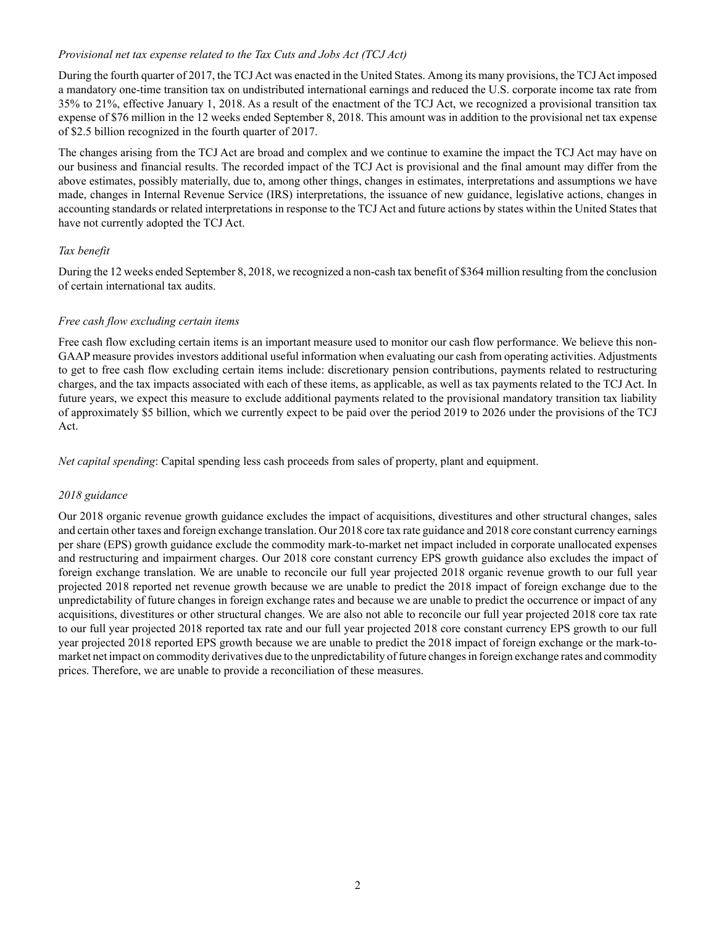## *Provisional net tax expense related to the Tax Cuts and Jobs Act (TCJ Act)*

During the fourth quarter of 2017, the TCJ Act was enacted in the United States. Among its many provisions, the TCJ Act imposed a mandatory one-time transition tax on undistributed international earnings and reduced the U.S. corporate income tax rate from 35% to 21%, effective January 1, 2018. As a result of the enactment of the TCJ Act, we recognized a provisional transition tax expense of \$76 million in the 12 weeks ended September 8, 2018. This amount was in addition to the provisional net tax expense of \$2.5 billion recognized in the fourth quarter of 2017.

The changes arising from the TCJ Act are broad and complex and we continue to examine the impact the TCJ Act may have on our business and financial results. The recorded impact of the TCJ Act is provisional and the final amount may differ from the above estimates, possibly materially, due to, among other things, changes in estimates, interpretations and assumptions we have made, changes in Internal Revenue Service (IRS) interpretations, the issuance of new guidance, legislative actions, changes in accounting standards or related interpretations in response to the TCJ Act and future actions by states within the United States that have not currently adopted the TCJ Act.

# *Tax benefit*

During the 12 weeks ended September 8, 2018, we recognized a non-cash tax benefit of \$364 million resulting from the conclusion of certain international tax audits.

# *Free cash flow excluding certain items*

Free cash flow excluding certain items is an important measure used to monitor our cash flow performance. We believe this non-GAAP measure provides investors additional useful information when evaluating our cash from operating activities. Adjustments to get to free cash flow excluding certain items include: discretionary pension contributions, payments related to restructuring charges, and the tax impacts associated with each of these items, as applicable, as well as tax payments related to the TCJ Act. In future years, we expect this measure to exclude additional payments related to the provisional mandatory transition tax liability of approximately \$5 billion, which we currently expect to be paid over the period 2019 to 2026 under the provisions of the TCJ Act.

*Net capital spending*: Capital spending less cash proceeds from sales of property, plant and equipment.

## *2018 guidance*

Our 2018 organic revenue growth guidance excludes the impact of acquisitions, divestitures and other structural changes, sales and certain other taxes and foreign exchange translation. Our 2018 core tax rate guidance and 2018 core constant currency earnings per share (EPS) growth guidance exclude the commodity mark-to-market net impact included in corporate unallocated expenses and restructuring and impairment charges. Our 2018 core constant currency EPS growth guidance also excludes the impact of foreign exchange translation. We are unable to reconcile our full year projected 2018 organic revenue growth to our full year projected 2018 reported net revenue growth because we are unable to predict the 2018 impact of foreign exchange due to the unpredictability of future changes in foreign exchange rates and because we are unable to predict the occurrence or impact of any acquisitions, divestitures or other structural changes. We are also not able to reconcile our full year projected 2018 core tax rate to our full year projected 2018 reported tax rate and our full year projected 2018 core constant currency EPS growth to our full year projected 2018 reported EPS growth because we are unable to predict the 2018 impact of foreign exchange or the mark-tomarket net impact on commodity derivatives due to the unpredictability of future changes in foreign exchange rates and commodity prices. Therefore, we are unable to provide a reconciliation of these measures.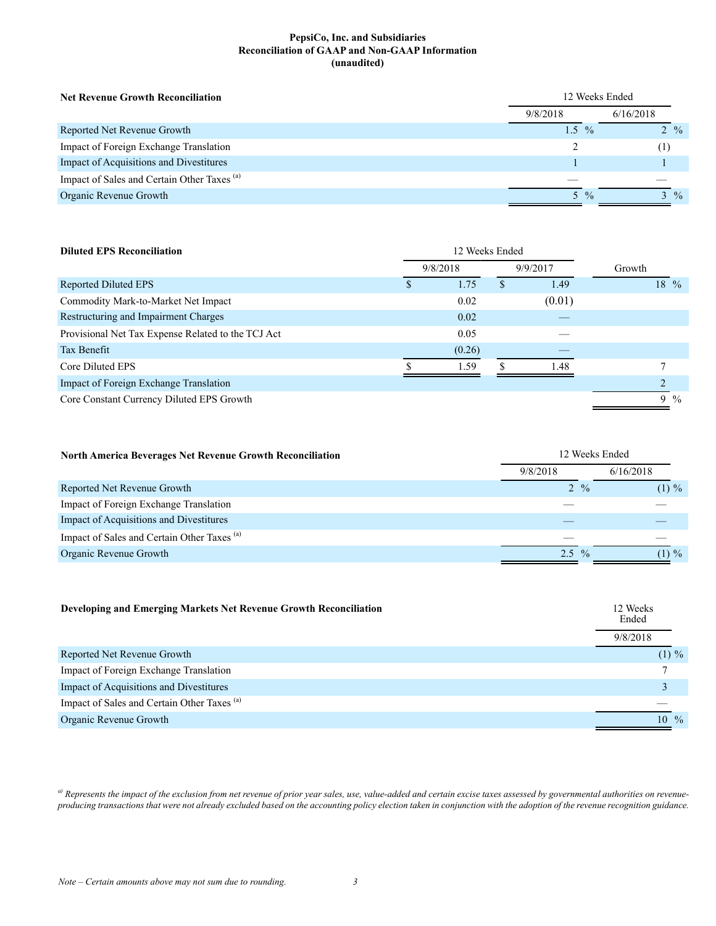#### **PepsiCo, Inc. and Subsidiaries Reconciliation of GAAP and Non-GAAP Information (unaudited)**

| <b>Net Revenue Growth Reconciliation</b>               | 12 Weeks Ended |               |                 |
|--------------------------------------------------------|----------------|---------------|-----------------|
|                                                        | 9/8/2018       |               | 6/16/2018       |
| Reported Net Revenue Growth                            | $1.5\%$        |               | $2 \frac{9}{6}$ |
| Impact of Foreign Exchange Translation                 |                |               | (1)             |
| Impact of Acquisitions and Divestitures                |                |               |                 |
| Impact of Sales and Certain Other Taxes <sup>(a)</sup> |                |               |                 |
| Organic Revenue Growth                                 | 5              | $\frac{0}{0}$ | $3\frac{9}{6}$  |

| <b>Diluted EPS Reconciliation</b>                  | 12 Weeks Ended       |        |          |        |  |        |  |
|----------------------------------------------------|----------------------|--------|----------|--------|--|--------|--|
|                                                    | 9/9/2017<br>9/8/2018 |        |          | Growth |  |        |  |
| Reported Diluted EPS                               |                      | 1.75   | <b>S</b> | 1.49   |  | $18\%$ |  |
| Commodity Mark-to-Market Net Impact                |                      | 0.02   |          | (0.01) |  |        |  |
| Restructuring and Impairment Charges               |                      | 0.02   |          |        |  |        |  |
| Provisional Net Tax Expense Related to the TCJ Act |                      | 0.05   |          |        |  |        |  |
| Tax Benefit                                        |                      | (0.26) |          |        |  |        |  |
| Core Diluted EPS                                   |                      | 1.59   |          | 1.48   |  |        |  |
| Impact of Foreign Exchange Translation             |                      |        |          |        |  |        |  |
| Core Constant Currency Diluted EPS Growth          |                      |        |          |        |  | 9 %    |  |

| North America Beverages Net Revenue Growth Reconciliation |                 | 12 Weeks Ended |
|-----------------------------------------------------------|-----------------|----------------|
|                                                           | 9/8/2018        | 6/16/2018      |
| Reported Net Revenue Growth                               | $2 \frac{9}{6}$ | $(1) \%$       |
| Impact of Foreign Exchange Translation                    |                 |                |
| Impact of Acquisitions and Divestitures                   |                 |                |
| Impact of Sales and Certain Other Taxes <sup>(a)</sup>    |                 |                |
| Organic Revenue Growth                                    | $2.5\%$         | $(1) \%$       |

| Developing and Emerging Markets Net Revenue Growth Reconciliation | 12 Weeks<br>Ended   |
|-------------------------------------------------------------------|---------------------|
|                                                                   | 9/8/2018            |
| Reported Net Revenue Growth                                       | $(1) \%$            |
| Impact of Foreign Exchange Translation                            |                     |
| Impact of Acquisitions and Divestitures                           |                     |
| Impact of Sales and Certain Other Taxes <sup>(a)</sup>            |                     |
| Organic Revenue Growth                                            | 10<br>$\frac{0}{0}$ |

<sup>a)</sup> Represents the impact of the exclusion from net revenue of prior year sales, use, value-added and certain excise taxes assessed by governmental authorities on revenue*producing transactions that were not already excluded based on the accounting policy election taken in conjunction with the adoption of the revenue recognition guidance.*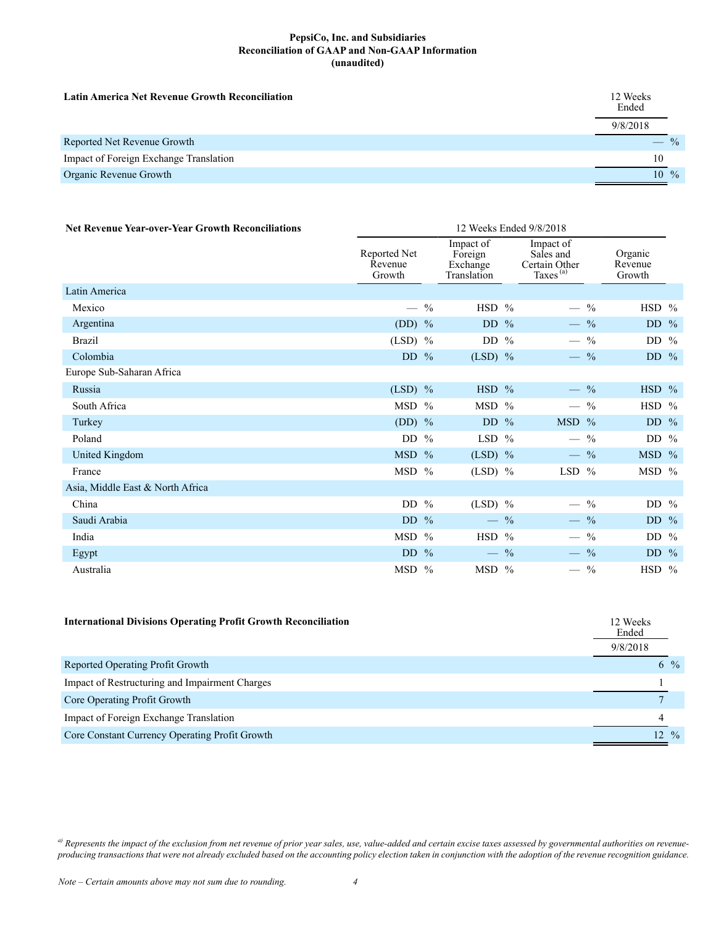#### **PepsiCo, Inc. and Subsidiaries Reconciliation of GAAP and Non-GAAP Information (unaudited)**

| <b>Latin America Net Revenue Growth Reconciliation</b> | 12 Weeks<br>Ended |       |
|--------------------------------------------------------|-------------------|-------|
|                                                        | 9/8/2018          |       |
| Reported Net Revenue Growth                            |                   | $-$ % |
| Impact of Foreign Exchange Translation                 | 10                |       |
| Organic Revenue Growth                                 | $10\%$            |       |

| <b>Net Revenue Year-over-Year Growth Reconciliations</b> | 12 Weeks Ended 9/8/2018           |               |                                                 |  |                                                                 |               |                              |  |
|----------------------------------------------------------|-----------------------------------|---------------|-------------------------------------------------|--|-----------------------------------------------------------------|---------------|------------------------------|--|
|                                                          | Reported Net<br>Revenue<br>Growth |               | Impact of<br>Foreign<br>Exchange<br>Translation |  | Impact of<br>Sales and<br>Certain Other<br>Taxes <sup>(a)</sup> |               | Organic<br>Revenue<br>Growth |  |
| Latin America                                            |                                   |               |                                                 |  |                                                                 |               |                              |  |
| Mexico                                                   |                                   | $\frac{0}{0}$ | HSD %                                           |  | $\overline{\phantom{0}}$                                        | $^{0}/_{0}$   | HSD %                        |  |
| Argentina                                                | (DD) $%$                          |               | DD $%$                                          |  | $-$ %                                                           |               | DD $%$                       |  |
| <b>Brazil</b>                                            | $(LSD)$ %                         |               | DD $%$                                          |  |                                                                 | $\frac{0}{0}$ | DD %                         |  |
| Colombia                                                 | DD $%$                            |               | $(LSD)$ %                                       |  | $-$ %                                                           |               | DD $%$                       |  |
| Europe Sub-Saharan Africa                                |                                   |               |                                                 |  |                                                                 |               |                              |  |
| Russia                                                   | $(LSD)$ %                         |               | $HSD$ %                                         |  | $-$ %                                                           |               | $HSD$ %                      |  |
| South Africa                                             | MSD %                             |               | MSD %                                           |  | $-$ %                                                           |               | HSD %                        |  |
| Turkey                                                   | $(DD)$ %                          |               | DD $%$                                          |  | MSD %                                                           |               | DD $%$                       |  |
| Poland                                                   | DD $%$                            |               | LSD $%$                                         |  | $-$ %                                                           |               | DD $%$                       |  |
| United Kingdom                                           | MSD %                             |               | $(LSD)$ %                                       |  | $-$ %                                                           |               | $MSD$ %                      |  |
| France                                                   | $MSD$ %                           |               | $(LSD)$ %                                       |  | $LSD$ %                                                         |               | MSD %                        |  |
| Asia, Middle East & North Africa                         |                                   |               |                                                 |  |                                                                 |               |                              |  |
| China                                                    | DD $%$                            |               | $(LSD)$ %                                       |  | $-$ %                                                           |               | DD $%$                       |  |
| Saudi Arabia                                             | DD $%$                            |               | $-$ %                                           |  | $-$ %                                                           |               | DD $%$                       |  |
| India                                                    | MSD %                             |               | HSD %                                           |  |                                                                 | $\frac{0}{0}$ | DD $%$                       |  |
| Egypt                                                    | DD $%$                            |               | $-$ %                                           |  | $-$ %                                                           |               | DD $\%$                      |  |
| Australia                                                | $MSD$ %                           |               | $MSD$ %                                         |  | $-$ %                                                           |               | $HSD$ %                      |  |

| <b>International Divisions Operating Profit Growth Reconciliation</b> | 12 Weeks<br>Ended |                  |  |
|-----------------------------------------------------------------------|-------------------|------------------|--|
|                                                                       | 9/8/2018          |                  |  |
| Reported Operating Profit Growth                                      |                   | $6\frac{9}{6}$   |  |
| Impact of Restructuring and Impairment Charges                        |                   |                  |  |
| Core Operating Profit Growth                                          |                   |                  |  |
| Impact of Foreign Exchange Translation                                |                   |                  |  |
| Core Constant Currency Operating Profit Growth                        |                   | $12 \frac{9}{6}$ |  |

*a) Represents the impact of the exclusion from net revenue of prior year sales, use, value-added and certain excise taxes assessed by governmental authorities on revenueproducing transactions that were not already excluded based on the accounting policy election taken in conjunction with the adoption of the revenue recognition guidance.*